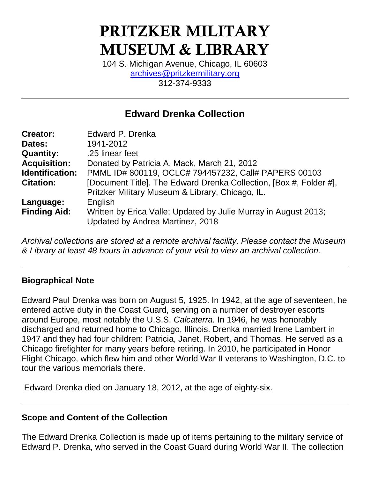# **PRITZKER MILITARY MUSEUM & LIBRARY**

104 S. Michigan Avenue, Chicago, IL 60603 [archives@pritzkermilitary.org](mailto:archives@pritzkermilitary.org) 312-374-9333

## **Edward Drenka Collection**

| <b>Creator:</b>        | Edward P. Drenka                                                                                    |
|------------------------|-----------------------------------------------------------------------------------------------------|
| Dates:                 | 1941-2012                                                                                           |
| <b>Quantity:</b>       | .25 linear feet                                                                                     |
| <b>Acquisition:</b>    | Donated by Patricia A. Mack, March 21, 2012                                                         |
| <b>Identification:</b> | PMML ID# 800119, OCLC# 794457232, Call# PAPERS 00103                                                |
| <b>Citation:</b>       | [Document Title]. The Edward Drenka Collection, [Box #, Folder #],                                  |
|                        | Pritzker Military Museum & Library, Chicago, IL.                                                    |
| Language:              | English                                                                                             |
| <b>Finding Aid:</b>    | Written by Erica Valle; Updated by Julie Murray in August 2013;<br>Updated by Andrea Martinez, 2018 |

*Archival collections are stored at a remote archival facility. Please contact the Museum & Library at least 48 hours in advance of your visit to view an archival collection.*

#### **Biographical Note**

Edward Paul Drenka was born on August 5, 1925. In 1942, at the age of seventeen, he entered active duty in the Coast Guard, serving on a number of destroyer escorts around Europe, most notably the U.S.S. *Calcaterra.* In 1946, he was honorably discharged and returned home to Chicago, Illinois. Drenka married Irene Lambert in 1947 and they had four children: Patricia, Janet, Robert, and Thomas. He served as a Chicago firefighter for many years before retiring. In 2010, he participated in Honor Flight Chicago, which flew him and other World War II veterans to Washington, D.C. to tour the various memorials there.

Edward Drenka died on January 18, 2012, at the age of eighty-six.

## **Scope and Content of the Collection**

The Edward Drenka Collection is made up of items pertaining to the military service of Edward P. Drenka, who served in the Coast Guard during World War II. The collection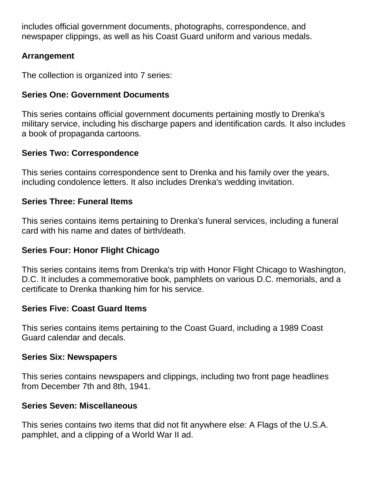includes official government documents, photographs, correspondence, and newspaper clippings, as well as his Coast Guard uniform and various medals.

## **Arrangement**

The collection is organized into 7 series:

### **Series One: Government Documents**

This series contains official government documents pertaining mostly to Drenka's military service, including his discharge papers and identification cards. It also includes a book of propaganda cartoons.

#### **Series Two: Correspondence**

This series contains correspondence sent to Drenka and his family over the years, including condolence letters. It also includes Drenka's wedding invitation.

## **Series Three: Funeral Items**

This series contains items pertaining to Drenka's funeral services, including a funeral card with his name and dates of birth/death.

## **Series Four: Honor Flight Chicago**

This series contains items from Drenka's trip with Honor Flight Chicago to Washington, D.C. It includes a commemorative book, pamphlets on various D.C. memorials, and a certificate to Drenka thanking him for his service.

## **Series Five: Coast Guard Items**

This series contains items pertaining to the Coast Guard, including a 1989 Coast Guard calendar and decals.

#### **Series Six: Newspapers**

This series contains newspapers and clippings, including two front page headlines from December 7th and 8th, 1941.

#### **Series Seven: Miscellaneous**

This series contains two items that did not fit anywhere else: A Flags of the U.S.A. pamphlet, and a clipping of a World War II ad.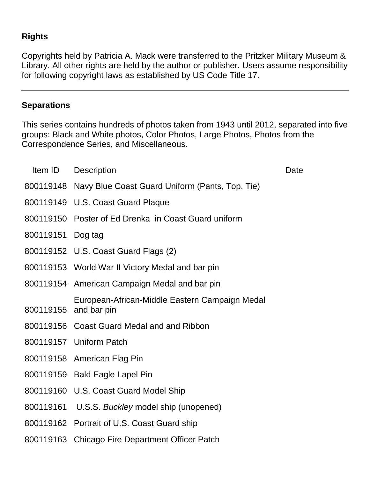## **Rights**

Copyrights held by Patricia A. Mack were transferred to the Pritzker Military Museum & Library. All other rights are held by the author or publisher. Users assume responsibility for following copyright laws as established by US Code Title 17.

#### **Separations**

This series contains hundreds of photos taken from 1943 until 2012, separated into five groups: Black and White photos, Color Photos, Large Photos, Photos from the Correspondence Series, and Miscellaneous.

| Item ID               | <b>Description</b>                                        | Date |
|-----------------------|-----------------------------------------------------------|------|
|                       | 800119148 Navy Blue Coast Guard Uniform (Pants, Top, Tie) |      |
|                       | 800119149 U.S. Coast Guard Plaque                         |      |
|                       | 800119150 Poster of Ed Drenka in Coast Guard uniform      |      |
| 800119151 Dog tag     |                                                           |      |
|                       | 800119152 U.S. Coast Guard Flags (2)                      |      |
|                       | 800119153 World War II Victory Medal and bar pin          |      |
|                       | 800119154 American Campaign Medal and bar pin             |      |
| 800119155 and bar pin | European-African-Middle Eastern Campaign Medal            |      |
|                       | 800119156 Coast Guard Medal and and Ribbon                |      |
|                       | 800119157 Uniform Patch                                   |      |
|                       | 800119158 American Flag Pin                               |      |
|                       | 800119159 Bald Eagle Lapel Pin                            |      |
|                       | 800119160 U.S. Coast Guard Model Ship                     |      |
|                       | 800119161 U.S.S. Buckley model ship (unopened)            |      |
|                       | 800119162 Portrait of U.S. Coast Guard ship               |      |
|                       | 800119163 Chicago Fire Department Officer Patch           |      |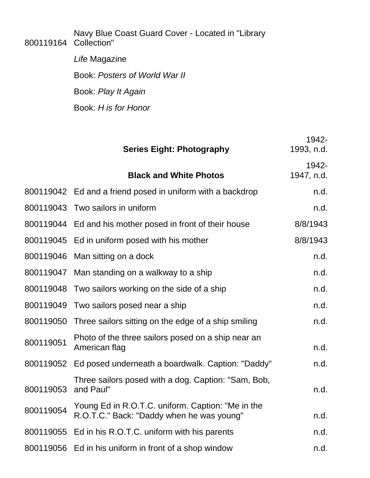800119164 Navy Blue Coast Guard Cover - Located in "Library Collection"

> *Life* Magazine Book: *Posters of World War II* Book: *Play It Again*  Book: *H is for Honor*

|           | <b>Series Eight: Photography</b>                                                               | 1942-<br>1993, n.d. |
|-----------|------------------------------------------------------------------------------------------------|---------------------|
|           | <b>Black and White Photos</b>                                                                  | 1942-<br>1947, n.d. |
|           | 800119042 Ed and a friend posed in uniform with a backdrop                                     | n.d.                |
|           | 800119043 Two sailors in uniform                                                               | n.d.                |
|           | 800119044 Ed and his mother posed in front of their house                                      | 8/8/1943            |
|           | 800119045 Ed in uniform posed with his mother                                                  | 8/8/1943            |
|           | 800119046 Man sitting on a dock                                                                | n.d.                |
|           | 800119047 Man standing on a walkway to a ship                                                  | n.d.                |
|           | 800119048 Two sailors working on the side of a ship                                            | n.d.                |
|           | 800119049 Two sailors posed near a ship                                                        | n.d.                |
|           | 800119050 Three sailors sitting on the edge of a ship smiling                                  | n.d.                |
| 800119051 | Photo of the three sailors posed on a ship near an<br>American flag                            | n.d.                |
|           | 800119052 Ed posed underneath a boardwalk. Caption: "Daddy"                                    | n.d.                |
| 800119053 | Three sailors posed with a dog. Caption: "Sam, Bob,<br>and Paul"                               | n.d.                |
| 800119054 | Young Ed in R.O.T.C. uniform. Caption: "Me in the<br>R.O.T.C." Back: "Daddy when he was young" | n.d.                |
| 800119055 | Ed in his R.O.T.C. uniform with his parents                                                    | n.d.                |
|           | 800119056 Ed in his uniform in front of a shop window                                          | n.d.                |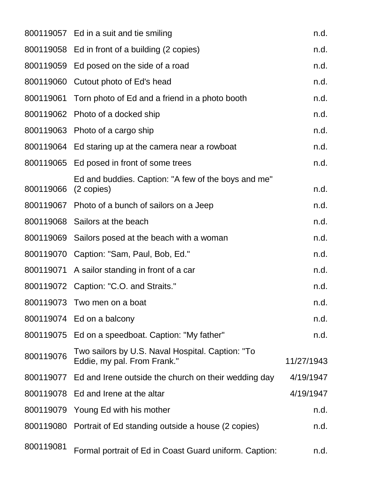|                      | 800119057 Ed in a suit and tie smiling                                          | n.d.       |
|----------------------|---------------------------------------------------------------------------------|------------|
|                      | 800119058 Ed in front of a building (2 copies)                                  | n.d.       |
|                      | 800119059 Ed posed on the side of a road                                        | n.d.       |
|                      | 800119060 Cutout photo of Ed's head                                             | n.d.       |
|                      | 800119061 Torn photo of Ed and a friend in a photo booth                        | n.d.       |
|                      | 800119062 Photo of a docked ship                                                | n.d.       |
|                      | 800119063 Photo of a cargo ship                                                 | n.d.       |
|                      | 800119064 Ed staring up at the camera near a rowboat                            | n.d.       |
|                      | 800119065 Ed posed in front of some trees                                       | n.d.       |
| 800119066 (2 copies) | Ed and buddies. Caption: "A few of the boys and me"                             | n.d.       |
|                      | 800119067 Photo of a bunch of sailors on a Jeep                                 | n.d.       |
|                      | 800119068 Sailors at the beach                                                  | n.d.       |
|                      | 800119069 Sailors posed at the beach with a woman                               | n.d.       |
|                      | 800119070 Caption: "Sam, Paul, Bob, Ed."                                        | n.d.       |
|                      | 800119071 A sailor standing in front of a car                                   | n.d.       |
|                      | 800119072 Caption: "C.O. and Straits."                                          | n.d.       |
|                      | 800119073 Two men on a boat                                                     | n.d.       |
|                      | 800119074 Ed on a balcony                                                       | n.d.       |
|                      | 800119075 Ed on a speedboat. Caption: "My father"                               | n.d.       |
| 800119076            | Two sailors by U.S. Naval Hospital. Caption: "To<br>Eddie, my pal. From Frank." | 11/27/1943 |
|                      | 800119077 Ed and Irene outside the church on their wedding day                  | 4/19/1947  |
|                      | 800119078 Ed and Irene at the altar                                             | 4/19/1947  |
|                      | 800119079 Young Ed with his mother                                              | n.d.       |
|                      | 800119080 Portrait of Ed standing outside a house (2 copies)                    | n.d.       |
| 800119081            | Formal portrait of Ed in Coast Guard uniform. Caption:                          | n.d.       |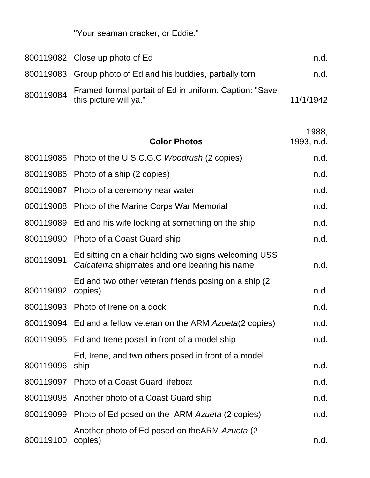"Your seaman cracker, or Eddie."

|           | 800119082 Close up photo of Ed                                                   | n.d.      |
|-----------|----------------------------------------------------------------------------------|-----------|
|           | 800119083 Group photo of Ed and his buddies, partially torn                      | n.d.      |
| 800119084 | Framed formal portait of Ed in uniform. Caption: "Save<br>this picture will ya." | 11/1/1942 |

|           | <b>Color Photos</b>                                                                                    | 1988,<br>1993, n.d. |
|-----------|--------------------------------------------------------------------------------------------------------|---------------------|
|           | 800119085 Photo of the U.S.C.G.C Woodrush (2 copies)                                                   | n.d.                |
|           | 800119086 Photo of a ship (2 copies)                                                                   | n.d.                |
|           | 800119087 Photo of a ceremony near water                                                               | n.d.                |
|           | 800119088 Photo of the Marine Corps War Memorial                                                       | n.d.                |
|           | 800119089 Ed and his wife looking at something on the ship                                             | n.d.                |
|           | 800119090 Photo of a Coast Guard ship                                                                  | n.d.                |
| 800119091 | Ed sitting on a chair holding two signs welcoming USS<br>Calcaterra shipmates and one bearing his name | n.d.                |
| 800119092 | Ed and two other veteran friends posing on a ship (2)<br>copies)                                       | n.d.                |
|           | 800119093 Photo of Irene on a dock                                                                     | n.d.                |
|           | 800119094 Ed and a fellow veteran on the ARM Azueta(2 copies)                                          | n.d.                |
|           | 800119095 Ed and Irene posed in front of a model ship                                                  | n.d.                |
| 800119096 | Ed, Irene, and two others posed in front of a model<br>ship                                            | n.d.                |
|           | 800119097 Photo of a Coast Guard lifeboat                                                              | n.d.                |
|           | 800119098 Another photo of a Coast Guard ship                                                          | n.d.                |
|           | 800119099 Photo of Ed posed on the ARM Azueta (2 copies)                                               | n.d.                |
| 800119100 | Another photo of Ed posed on the ARM Azueta (2)<br>copies)                                             | n.d.                |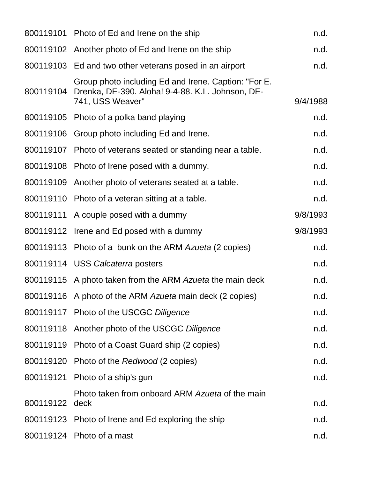|           | 800119101 Photo of Ed and Irene on the ship                                                                                  | n.d.     |
|-----------|------------------------------------------------------------------------------------------------------------------------------|----------|
|           | 800119102 Another photo of Ed and Irene on the ship                                                                          | n.d.     |
|           | 800119103 Ed and two other veterans posed in an airport                                                                      | n.d.     |
| 800119104 | Group photo including Ed and Irene. Caption: "For E.<br>Drenka, DE-390. Aloha! 9-4-88. K.L. Johnson, DE-<br>741, USS Weaver" | 9/4/1988 |
|           | 800119105 Photo of a polka band playing                                                                                      | n.d.     |
|           | 800119106 Group photo including Ed and Irene.                                                                                | n.d.     |
|           | 800119107 Photo of veterans seated or standing near a table.                                                                 | n.d.     |
|           | 800119108 Photo of Irene posed with a dummy.                                                                                 | n.d.     |
|           | 800119109 Another photo of veterans seated at a table.                                                                       | n.d.     |
|           | 800119110 Photo of a veteran sitting at a table.                                                                             | n.d.     |
|           | 800119111 A couple posed with a dummy                                                                                        | 9/8/1993 |
|           | 800119112 Irene and Ed posed with a dummy                                                                                    | 9/8/1993 |
|           | 800119113 Photo of a bunk on the ARM Azueta (2 copies)                                                                       | n.d.     |
|           | 800119114 USS Calcaterra posters                                                                                             | n.d.     |
|           | 800119115 A photo taken from the ARM Azueta the main deck                                                                    | n.d.     |
|           | 800119116 A photo of the ARM Azueta main deck (2 copies)                                                                     | n.d.     |
|           | 800119117 Photo of the USCGC Diligence                                                                                       | n.d.     |
|           | 800119118 Another photo of the USCGC Diligence                                                                               | n.d.     |
|           | 800119119 Photo of a Coast Guard ship (2 copies)                                                                             | n.d.     |
|           | 800119120 Photo of the Redwood (2 copies)                                                                                    | n.d.     |
|           | 800119121 Photo of a ship's gun                                                                                              | n.d.     |
| 800119122 | Photo taken from onboard ARM Azueta of the main<br>deck                                                                      | n.d.     |
|           | 800119123 Photo of Irene and Ed exploring the ship                                                                           | n.d.     |
|           | 800119124 Photo of a mast                                                                                                    | n.d.     |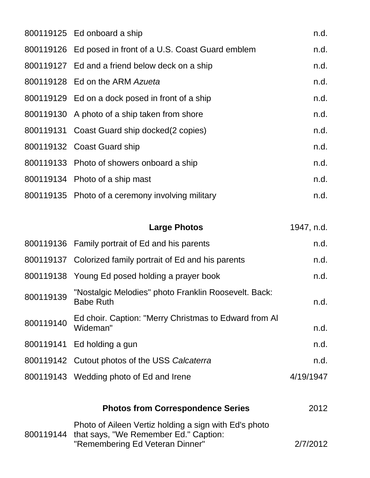| 800119125 Ed onboard a ship                              | n.d. |
|----------------------------------------------------------|------|
| 800119126 Ed posed in front of a U.S. Coast Guard emblem | n.d. |
| 800119127 Ed and a friend below deck on a ship           | n.d. |
| 800119128 Ed on the ARM Azueta                           | n.d. |
| 800119129 Ed on a dock posed in front of a ship          | n.d. |
| 800119130 A photo of a ship taken from shore             | n.d. |
| 800119131 Coast Guard ship docked(2 copies)              | n.d. |
| 800119132 Coast Guard ship                               | n.d. |
| 800119133 Photo of showers onboard a ship                | n.d. |
| 800119134 Photo of a ship mast                           | n.d. |
| 800119135 Photo of a ceremony involving military         | n.d. |

|           | <b>Large Photos</b>                                                      | 1947, n.d. |
|-----------|--------------------------------------------------------------------------|------------|
|           | 800119136 Family portrait of Ed and his parents                          | n.d.       |
|           | 800119137 Colorized family portrait of Ed and his parents                | n.d.       |
|           | 800119138 Young Ed posed holding a prayer book                           | n.d.       |
| 800119139 | "Nostalgic Melodies" photo Franklin Roosevelt. Back:<br><b>Babe Ruth</b> | n.d.       |
| 800119140 | Ed choir. Caption: "Merry Christmas to Edward from AI<br>Wideman"        | n.d.       |
|           | 800119141 Ed holding a gun                                               | n.d.       |
|           | 800119142 Cutout photos of the USS Calcaterra                            | n.d.       |
|           | 800119143 Wedding photo of Ed and Irene                                  | 4/19/1947  |
|           |                                                                          |            |

| <b>Photos from Correspondence Series</b>                                                                                                    | 2012     |
|---------------------------------------------------------------------------------------------------------------------------------------------|----------|
| Photo of Aileen Vertiz holding a sign with Ed's photo<br>800119144 that says, "We Remember Ed." Caption:<br>"Remembering Ed Veteran Dinner" | 2/7/2012 |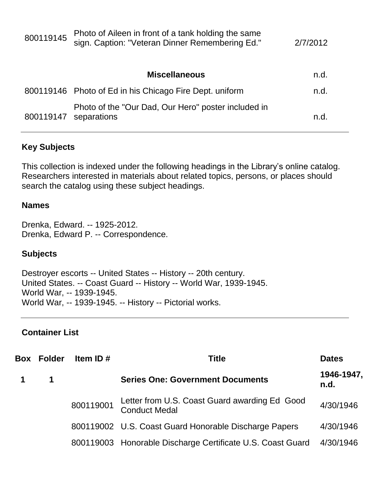| 800119145 | Photo of Aileen in front of a tank holding the same<br>sign. Caption: "Veteran Dinner Remembering Ed." | 2/7/2012 |
|-----------|--------------------------------------------------------------------------------------------------------|----------|
|           | <b>Miscellaneous</b>                                                                                   | n.d.     |
|           | 800119146 Photo of Ed in his Chicago Fire Dept. uniform                                                | n.d.     |
| 800119147 | Photo of the "Our Dad, Our Hero" poster included in<br>separations                                     | n.d      |

#### **Key Subjects**

This collection is indexed under the following headings in the Library's online catalog. Researchers interested in materials about related topics, persons, or places should search the catalog using these subject headings.

#### **Names**

Drenka, Edward. -- 1925-2012. Drenka, Edward P. -- Correspondence.

#### **Subjects**

Destroyer escorts -- United States -- History -- 20th century. United States. -- Coast Guard -- History -- World War, 1939-1945. World War, -- 1939-1945. World War, -- 1939-1945. -- History -- Pictorial works.

#### **Container List**

| <b>Box Folder</b> | Item ID $#$ | <b>Title</b>                                                          | <b>Dates</b>       |
|-------------------|-------------|-----------------------------------------------------------------------|--------------------|
| $\mathbf 1$       |             | <b>Series One: Government Documents</b>                               | 1946-1947,<br>n.d. |
|                   | 800119001   | Letter from U.S. Coast Guard awarding Ed Good<br><b>Conduct Medal</b> | 4/30/1946          |
|                   |             | 800119002 U.S. Coast Guard Honorable Discharge Papers                 | 4/30/1946          |
|                   |             | 800119003 Honorable Discharge Certificate U.S. Coast Guard            | 4/30/1946          |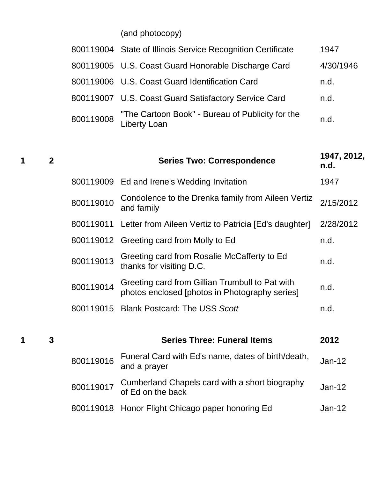(and photocopy)

|           | 800119004 State of Illinois Service Recognition Certificate      | 1947      |
|-----------|------------------------------------------------------------------|-----------|
|           | 800119005 U.S. Coast Guard Honorable Discharge Card              | 4/30/1946 |
|           | 800119006 U.S. Coast Guard Identification Card                   | n.d.      |
|           | 800119007 U.S. Coast Guard Satisfactory Service Card             | n.d.      |
| 800119008 | "The Cartoon Book" - Bureau of Publicity for the<br>Liberty Loan | n.d.      |

| 1 | $\overline{2}$ |           | <b>Series Two: Correspondence</b>                                                                 | 1947, 2012,<br>n.d. |
|---|----------------|-----------|---------------------------------------------------------------------------------------------------|---------------------|
|   |                |           | 800119009 Ed and Irene's Wedding Invitation                                                       | 1947                |
|   |                | 800119010 | Condolence to the Drenka family from Aileen Vertiz<br>and family                                  | 2/15/2012           |
|   |                |           | 800119011 Letter from Aileen Vertiz to Patricia [Ed's daughter]                                   | 2/28/2012           |
|   |                |           | 800119012 Greeting card from Molly to Ed                                                          | n.d.                |
|   |                | 800119013 | Greeting card from Rosalie McCafferty to Ed<br>thanks for visiting D.C.                           | n.d.                |
|   |                | 800119014 | Greeting card from Gillian Trumbull to Pat with<br>photos enclosed [photos in Photography series] | n.d.                |
|   |                |           | 800119015 Blank Postcard: The USS Scott                                                           | n.d.                |
|   |                |           |                                                                                                   |                     |
| 1 | $\mathbf 3$    |           | <b>Series Three: Funeral Items</b>                                                                | 2012                |
|   |                | 800119016 | Funeral Card with Ed's name, dates of birth/death,<br>and a prayer                                | Jan-12              |
|   |                | 800119017 | Cumberland Chapels card with a short biography<br>of Ed on the back                               | Jan-12              |
|   |                | 800119018 | Honor Flight Chicago paper honoring Ed                                                            | $Jan-12$            |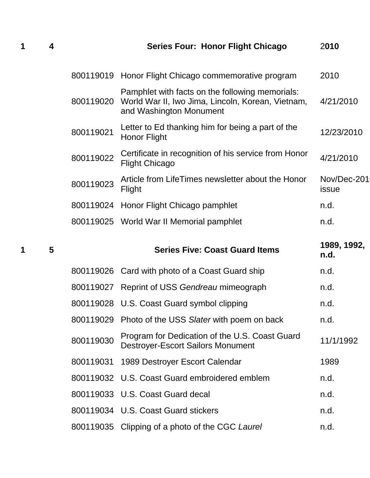|  | <b>Series Four: Honor Flight Chicago</b> | 2010 |
|--|------------------------------------------|------|
|  |                                          |      |

|           | 800119019 Honor Flight Chicago commemorative program                                                                                      | 2010                 |
|-----------|-------------------------------------------------------------------------------------------------------------------------------------------|----------------------|
|           | Pamphlet with facts on the following memorials:<br>800119020 World War II, Iwo Jima, Lincoln, Korean, Vietnam,<br>and Washington Monument | 4/21/2010            |
| 800119021 | Letter to Ed thanking him for being a part of the<br><b>Honor Flight</b>                                                                  | 12/23/2010           |
| 800119022 | Certificate in recognition of his service from Honor<br><b>Flight Chicago</b>                                                             | 4/21/2010            |
| 800119023 | Article from LifeTimes newsletter about the Honor<br>Flight                                                                               | Nov/Dec-201<br>issue |
|           | 800119024 Honor Flight Chicago pamphlet                                                                                                   | n.d.                 |
|           | 800119025 World War II Memorial pamphlet                                                                                                  | n.d.                 |

| 1 | $5\phantom{.0}$ |           | <b>Series Five: Coast Guard Items</b>                                                      | 1989, 1992,<br>n.d. |
|---|-----------------|-----------|--------------------------------------------------------------------------------------------|---------------------|
|   |                 |           | 800119026 Card with photo of a Coast Guard ship                                            | n.d.                |
|   |                 |           | 800119027 Reprint of USS Gendreau mimeograph                                               | n.d.                |
|   |                 |           | 800119028 U.S. Coast Guard symbol clipping                                                 | n.d.                |
|   |                 |           | 800119029 Photo of the USS Slater with poem on back                                        | n.d.                |
|   |                 | 800119030 | Program for Dedication of the U.S. Coast Guard<br><b>Destroyer-Escort Sailors Monument</b> | 11/1/1992           |
|   |                 |           | 800119031 1989 Destroyer Escort Calendar                                                   | 1989                |
|   |                 |           | 800119032 U.S. Coast Guard embroidered emblem                                              | n.d.                |
|   |                 |           | 800119033 U.S. Coast Guard decal                                                           | n.d.                |
|   |                 |           | 800119034 U.S. Coast Guard stickers                                                        | n.d.                |
|   |                 |           | 800119035 Clipping of a photo of the CGC Laurel                                            | n.d.                |